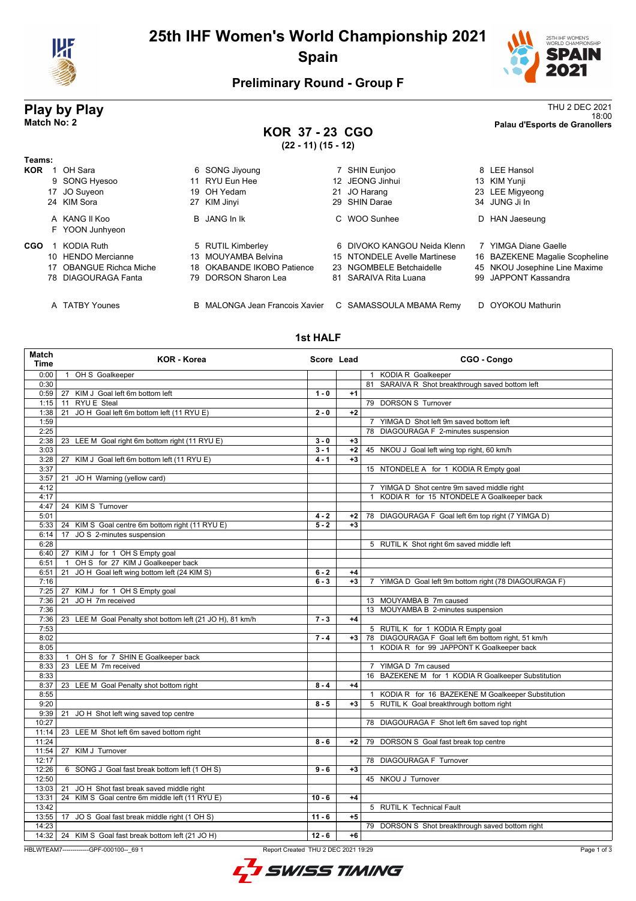

# **25th IHF Women's World Championship 2021 Spain**



## **Preliminary Round - Group F**

**Teams:**

**Play by Play** THU 2 DEC 2021<br>18:00<br>Palau d'Esports de Granollers 18:00 **Match No: 2 Palau d'Esports de Granollers KOR 37 - 23 CGO (22 - 11) (15 - 12) KOR** 1 OH Sara 6 SONG Jiyoung 1 2 SHIN Eunjoo 8 LEE Hansol 8 LEE Hansol 6 SONG Jiyoung 2 7 SHIN Eunjoo 8 LEE Hansol 11 RYU Eun Hee 17 JO Suyeon 19 OH Yedam 21 JO Harang 23 LEE Migyeong 24 KIM Sora 27 KIM Jinyi 29 SHIN Darae 34 JUNG Ji In

| A KANG II Koo   | <b>B</b> JANG In Ik | C WOO Sunhee | D HAN Jaeseung |
|-----------------|---------------------|--------------|----------------|
| F YOON Junhyeon |                     |              |                |

#### **CGO** 1 KODIA Ruth 5 RUTIL Kimberley 6 DIVOKO KANGOU Neida Klenn 7 YIMGA Diane Gaelle

- 
- 10 HENDO Mercianne 13 MOUYAMBA Belvina 15 NTONDELE Avelle Martinese 16 BAZEKENE Magalie Scopheline<br>17 OBANGUE Richca Miche 18 OKABANDE IKOBO Patience 23 NGOMBELE Betchaidelle 45 NKOU Josephine Line Maxime
	- 81 SARAIVA Rita Luana

17 OBANGUE Richca Miche 18 OKABANDE IKOBO Patience 23 NGOMBELE Betchaidelle 45 NKOU Josephine Line Maxime<br>18 DIAGOURAGA Fanta 19 DORSON Sharon Lea 81 SARAIVA Rita Luana 99 JAPPONT Kassandra

A TATBY Younes **B MALONGA Jean Francois Xavier** C SAMASSOULA MBAMA Remy D OYOKOU Mathurin

#### **1st HALF**

| Match<br><b>Time</b> | <b>KOR - Korea</b>                                                  | Score Lead |      | CGO - Congo                                                        |
|----------------------|---------------------------------------------------------------------|------------|------|--------------------------------------------------------------------|
| 0:00                 | OH S Goalkeeper<br>$\overline{1}$                                   |            |      | 1 KODIA R Goalkeeper                                               |
| 0:30                 |                                                                     |            |      | 81 SARAIVA R Shot breakthrough saved bottom left                   |
| 0:59                 | KIM J Goal left 6m bottom left<br>27                                | $1 - 0$    | $+1$ |                                                                    |
| 1:15                 | <b>RYU E</b> Steal<br>11                                            |            |      | 79 DORSON S Turnover                                               |
| 1:38                 | JO H Goal left 6m bottom left (11 RYU E)<br>21                      | $2 - 0$    | $+2$ |                                                                    |
| 1:59                 |                                                                     |            |      | 7 YIMGA D Shot left 9m saved bottom left                           |
| 2:25                 |                                                                     |            |      | 78 DIAGOURAGA F 2-minutes suspension                               |
| 2:38                 | 23<br>LEE M Goal right 6m bottom right (11 RYU E)                   | $3 - 0$    | $+3$ |                                                                    |
| 3:03                 |                                                                     | $3 - 1$    | $+2$ | 45 NKOU J Goal left wing top right, 60 km/h                        |
| 3:28                 | KIM J Goal left 6m bottom left (11 RYU E)<br>27                     | $4 - 1$    | $+3$ |                                                                    |
| 3:37                 |                                                                     |            |      | 15 NTONDELE A for 1 KODIA R Empty goal                             |
| 3:57                 | 21<br>JO H Warning (yellow card)                                    |            |      |                                                                    |
| 4:12                 |                                                                     |            |      | 7 YIMGA D Shot centre 9m saved middle right                        |
| 4:17                 |                                                                     |            |      | 1 KODIA R for 15 NTONDELE A Goalkeeper back                        |
| 4:47                 | <b>KIM S Turnover</b><br>24                                         |            |      |                                                                    |
| 5:01                 |                                                                     | $4 - 2$    | $+2$ | 78 DIAGOURAGA F Goal left 6m top right (7 YIMGA D)                 |
| 5:33                 | 24 KIM S Goal centre 6m bottom right (11 RYU E)                     | $5 - 2$    | $+3$ |                                                                    |
| 6:14                 | JO S 2-minutes suspension<br>17                                     |            |      |                                                                    |
| 6:28                 |                                                                     |            |      | 5 RUTIL K Shot right 6m saved middle left                          |
| 6:40                 | 27 KIM J for 1 OH S Empty goal<br>OH S for 27 KIM J Goalkeeper back |            |      |                                                                    |
| 6:51<br>6:51         | $\overline{1}$<br>JO H Goal left wing bottom left (24 KIM S)<br>21  | $6 - 2$    | $+4$ |                                                                    |
| 7:16                 |                                                                     | $6 - 3$    | $+3$ | YIMGA D Goal left 9m bottom right (78 DIAGOURAGA F)<br>$7^{\circ}$ |
| 7:25                 | 27 KIM J for 1 OH S Empty goal                                      |            |      |                                                                    |
| 7:36                 | JOH 7m received<br>21                                               |            |      | 13 MOUYAMBA B 7m caused                                            |
| 7:36                 |                                                                     |            |      | 13 MOUYAMBA B 2-minutes suspension                                 |
| 7:36                 | 23 LEE M Goal Penalty shot bottom left (21 JO H), 81 km/h           | $7 - 3$    | $+4$ |                                                                    |
| 7:53                 |                                                                     |            |      | 5 RUTIL K for 1 KODIA R Empty goal                                 |
| 8:02                 |                                                                     | $7 - 4$    | $+3$ | 78 DIAGOURAGA F Goal left 6m bottom right, 51 km/h                 |
| 8:05                 |                                                                     |            |      | KODIA R for 99 JAPPONT K Goalkeeper back                           |
| 8:33                 | OH S for 7 SHIN E Goalkeeper back<br>$\mathbf{1}$                   |            |      |                                                                    |
| 8:33                 | LEE M 7m received<br>23                                             |            |      | 7 YIMGA D 7m caused                                                |
| 8:33                 |                                                                     |            |      | 16 BAZEKENE M for 1 KODIA R Goalkeeper Substitution                |
| 8:37                 | 23 LEE M Goal Penalty shot bottom right                             | $8 - 4$    | $+4$ |                                                                    |
| 8:55                 |                                                                     |            |      | 1 KODIA R for 16 BAZEKENE M Goalkeeper Substitution                |
| 9:20                 |                                                                     | $8 - 5$    | $+3$ | 5 RUTIL K Goal breakthrough bottom right                           |
| 9:39                 | JO H Shot left wing saved top centre<br>21                          |            |      |                                                                    |
| 10:27                |                                                                     |            |      | 78 DIAGOURAGA F Shot left 6m saved top right                       |
| 11:14                | LEE M Shot left 6m saved bottom right<br>23                         |            |      |                                                                    |
| 11:24                |                                                                     | $8 - 6$    | $+2$ | 79 DORSON S Goal fast break top centre                             |
| 11:54                | 27 KIM J Turnover                                                   |            |      |                                                                    |
| 12:17                |                                                                     |            |      | 78 DIAGOURAGA F Turnover                                           |
| 12:26                | 6 SONG J Goal fast break bottom left (1 OH S)                       | $9 - 6$    | $+3$ |                                                                    |
| 12:50                |                                                                     |            |      | 45 NKOU J Turnover                                                 |
| 13:03                | JO H Shot fast break saved middle right<br>21                       |            |      |                                                                    |
| 13:31                | 24 KIM S Goal centre 6m middle left (11 RYU E)                      | $10 - 6$   | $+4$ |                                                                    |
| 13:42                |                                                                     |            |      | 5 RUTIL K Technical Fault                                          |
| 13:55                | JO S Goal fast break middle right (1 OH S)<br>17                    | $11 - 6$   | $+5$ |                                                                    |
| 14:23                |                                                                     |            |      | 79 DORSON S Shot breakthrough saved bottom right                   |
|                      | 14:32   24 KIM S Goal fast break bottom left (21 JO H)              | $12 - 6$   | $+6$ |                                                                    |

HBLWTEAM7-------------GPF-000100--\_69 1 Report Created THU 2 DEC 2021 19:29

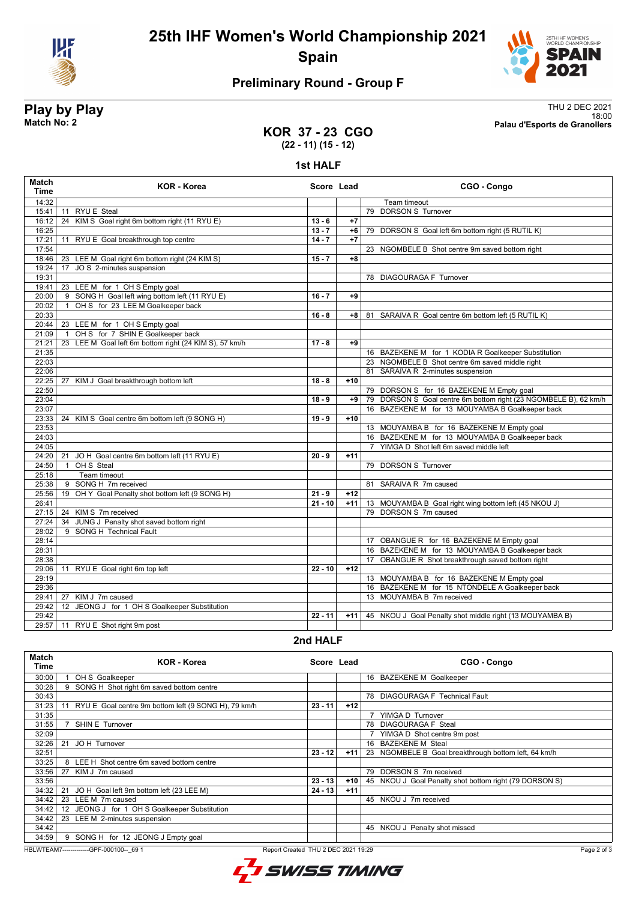

**25th IHF Women's World Championship 2021 Spain**



# **Preliminary Round - Group F**

**Play by Play**<br>Match No: 2<br>Palau d'Esports de Granollers 18:00 **Match No: 2 Palau d'Esports de Granollers**

### **KOR 37 - 23 CGO (22 - 11) (15 - 12)**

#### **1st HALF**

| <b>Match</b><br><b>Time</b> | <b>KOR - Korea</b>                                        | Score Lead |       | CGO - Congo                                                      |
|-----------------------------|-----------------------------------------------------------|------------|-------|------------------------------------------------------------------|
| 14:32                       |                                                           |            |       | Team timeout                                                     |
| 15:41                       | <b>RYU E</b> Steal<br>11                                  |            |       | 79 DORSON S Turnover                                             |
| 16:12                       | KIM S Goal right 6m bottom right (11 RYU E)<br>24         | $13 - 6$   | $+7$  |                                                                  |
| 16:25                       |                                                           | $13 - 7$   | $+6$  | 79 DORSON S Goal left 6m bottom right (5 RUTIL K)                |
| 17:21                       | RYU E Goal breakthrough top centre<br>11                  | $14 - 7$   | $+7$  |                                                                  |
| 17:54                       |                                                           |            |       | 23 NGOMBELE B Shot centre 9m saved bottom right                  |
| 18:46                       | 23 LEE M Goal right 6m bottom right (24 KIM S)            | $15 - 7$   | $+8$  |                                                                  |
| 19:24                       | JO S 2-minutes suspension<br>17                           |            |       |                                                                  |
| 19:31                       |                                                           |            |       | 78 DIAGOURAGA F Turnover                                         |
| 19:41                       | 23 LEE M for 1 OH S Empty goal                            |            |       |                                                                  |
| 20:00                       | 9 SONG H Goal left wing bottom left (11 RYU E)            | $16 - 7$   | $+9$  |                                                                  |
| 20:02                       | OH S for 23 LEE M Goalkeeper back<br>$\mathbf{1}$         |            |       |                                                                  |
| 20:33                       |                                                           | $16 - 8$   | +8    | SARAIVA R Goal centre 6m bottom left (5 RUTIL K)<br>81           |
| 20:44                       | 23 LEE M for 1 OH S Empty goal                            |            |       |                                                                  |
| 21:09                       | OH S for 7 SHIN E Goalkeeper back<br>$\overline{1}$       |            |       |                                                                  |
| 21:21                       | LEE M Goal left 6m bottom right (24 KIM S), 57 km/h<br>23 | $17 - 8$   | $+9$  |                                                                  |
| 21:35                       |                                                           |            |       | 16 BAZEKENE M for 1 KODIA R Goalkeeper Substitution              |
| 22:03                       |                                                           |            |       | 23 NGOMBELE B Shot centre 6m saved middle right                  |
| 22:06                       |                                                           |            |       | 81 SARAIVA R 2-minutes suspension                                |
| 22:25                       | 27<br>KIM J Goal breakthrough bottom left                 | $18 - 8$   | $+10$ |                                                                  |
| 22:50                       |                                                           |            |       | 79 DORSON S for 16 BAZEKENE M Empty goal                         |
| 23:04                       |                                                           | $18 - 9$   | $+9$  | 79 DORSON S Goal centre 6m bottom right (23 NGOMBELE B), 62 km/h |
| 23:07                       |                                                           |            |       | 16 BAZEKENE M for 13 MOUYAMBA B Goalkeeper back                  |
| 23:33                       | 24 KIM S Goal centre 6m bottom left (9 SONG H)            | $19 - 9$   | $+10$ |                                                                  |
| 23:53                       |                                                           |            |       | 13 MOUYAMBA B for 16 BAZEKENE M Empty goal                       |
| 24:03                       |                                                           |            |       | 16 BAZEKENE M for 13 MOUYAMBA B Goalkeeper back                  |
| 24:05                       |                                                           |            |       | 7 YIMGA D Shot left 6m saved middle left                         |
| 24:20                       | JO H Goal centre 6m bottom left (11 RYU E)<br>21          | $20 - 9$   | $+11$ |                                                                  |
| 24:50                       | OH S Steal<br>$\overline{1}$                              |            |       | 79 DORSON S Turnover                                             |
| 25:18                       | Team timeout                                              |            |       |                                                                  |
| 25:38                       | 9 SONG H 7m received                                      |            |       | 81 SARAIVA R 7m caused                                           |
| 25:56                       | 19 OH Y Goal Penalty shot bottom left (9 SONG H)          | $21 - 9$   | $+12$ |                                                                  |
| 26:41                       |                                                           | $21 - 10$  | $+11$ | 13 MOUYAMBA B Goal right wing bottom left (45 NKOU J)            |
| 27:15                       | 24 KIM S 7m received                                      |            |       | 79 DORSON S 7m caused                                            |
| 27:24                       | 34 JUNG J Penalty shot saved bottom right                 |            |       |                                                                  |
| 28:02                       | 9 SONG H Technical Fault                                  |            |       |                                                                  |
| 28:14                       |                                                           |            |       | 17 OBANGUE R for 16 BAZEKENE M Empty goal                        |
| 28:31                       |                                                           |            |       | 16 BAZEKENE M for 13 MOUYAMBA B Goalkeeper back                  |
| 28:38                       |                                                           |            |       | 17 OBANGUE R Shot breakthrough saved bottom right                |
| 29:06                       | 11 RYU E Goal right 6m top left                           | $22 - 10$  | $+12$ |                                                                  |
| 29:19                       |                                                           |            |       | 13 MOUYAMBA B for 16 BAZEKENE M Empty goal                       |
| 29:36                       |                                                           |            |       | 16 BAZEKENE M for 15 NTONDELE A Goalkeeper back                  |
| 29:41                       | KIM J 7m caused<br>27                                     |            |       | 13 MOUYAMBA B 7m received                                        |
| 29:42                       | 12 JEONG J for 1 OH S Goalkeeper Substitution             |            |       |                                                                  |
| 29:42                       |                                                           | $22 - 11$  | $+11$ | 45 NKOU J Goal Penalty shot middle right (13 MOUYAMBA B)         |
| 29:57                       | 11 RYU E Shot right 9m post                               |            |       |                                                                  |

### **2nd HALF**

| KOR - Korea<br>CGO - Congo<br>Score Lead<br>Time                                          |  |
|-------------------------------------------------------------------------------------------|--|
| 16 BAZEKENE M Goalkeeper<br>30:00<br>OH S Goalkeeper                                      |  |
| 9 SONG H Shot right 6m saved bottom centre<br>30:28                                       |  |
| 30:43<br>78 DIAGOURAGA F Technical Fault                                                  |  |
| $23 - 11$<br>31:23<br>RYU E Goal centre 9m bottom left (9 SONG H), 79 km/h<br>$+12$<br>11 |  |
| 31:35<br>YIMGA D Turnover                                                                 |  |
| <b>SHIN E Turnover</b><br>78 DIAGOURAGA F Steal<br>31:55                                  |  |
| 32:09<br>YIMGA D Shot centre 9m post                                                      |  |
| 16 BAZEKENE M Steal<br>JOH Turnover<br>32:26<br>21                                        |  |
| 23 NGOMBELE B Goal breakthrough bottom left, 64 km/h<br>$23 - 12$<br>$+11$<br>32:51       |  |
| 8 LEE H Shot centre 6m saved bottom centre<br>33:25                                       |  |
| DORSON S 7m received<br>33:56<br>KIM J 7m caused<br>27<br>79                              |  |
| $23 - 13$<br>33:56<br>$+10$<br>45 NKOU J Goal Penalty shot bottom right (79 DORSON S)     |  |
| JO H Goal left 9m bottom left (23 LEE M)<br>$24 - 13$<br>34:32<br>21<br>$+11$             |  |
| 34:42<br>LEE M 7m caused<br>45 NKOU J 7m received<br>23                                   |  |
| JEONG J for 1 OH S Goalkeeper Substitution<br>34:42<br>12                                 |  |
| 34:42<br>23 LEE M 2-minutes suspension                                                    |  |
| 34:42<br>45 NKOU J Penalty shot missed                                                    |  |
| 34:59<br>9 SONG H for 12 JEONG J Empty goal                                               |  |

HBLWTEAM7-------------GPF-000100--\_69 1 Report Created THU 2 DEC 2021 19:29